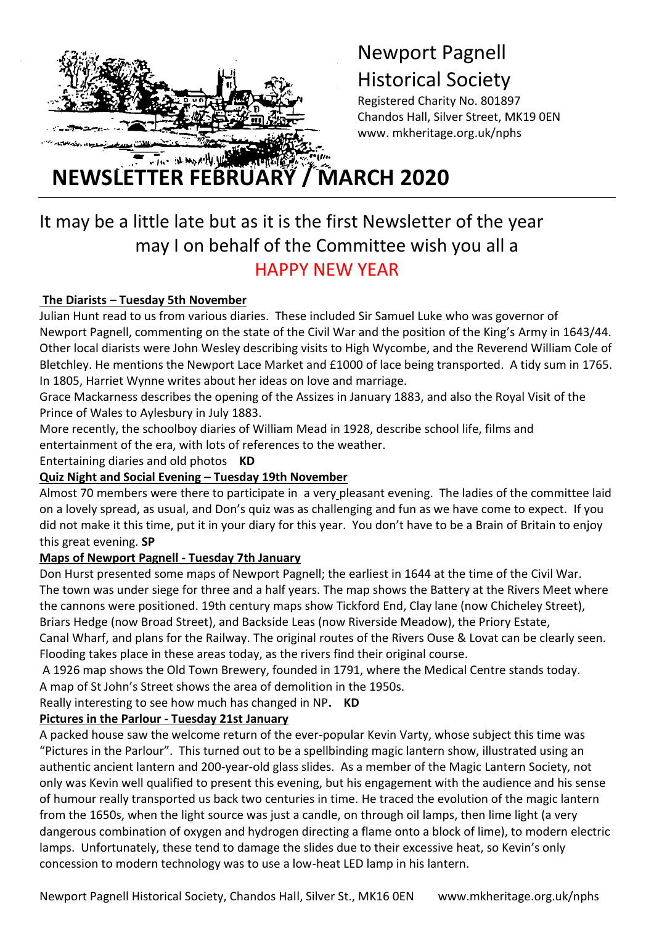

# Newport Pagnell Historical Society

Registered Charity No. 801897 Chandos Hall, Silver Street, MK19 0EN www. mkheritage.org.uk/nphs

**NEWSLETTER FEBRUARY / MARCH 2020** 

# It may be a little late but as it is the first Newsletter of the year may I on behalf of the Committee wish you all a HAPPY NEW YEAR

# **The Diarists – Tuesday 5th November**

t

Julian Hunt read to us from various diaries. These included Sir Samuel Luke who was governor of Newport Pagnell, commenting on the state of the Civil War and the position of the King's Army in 1643/44. Other local diarists were John Wesley describing visits to High Wycombe, and the Reverend William Cole of Bletchley. He mentions the Newport Lace Market and £1000 of lace being transported. A tidy sum in 1765. In 1805, Harriet Wynne writes about her ideas on love and marriage.

Grace Mackarness describes the opening of the Assizes in January 1883, and also the Royal Visit of the Prince of Wales to Aylesbury in July 1883.

More recently, the schoolboy diaries of William Mead in 1928, describe school life, films and entertainment of the era, with lots of references to the weather.

Entertaining diaries and old photos **KD**

# **Quiz Night and Social Evening – Tuesday 19th November**

Almost 70 members were there to participate in a very pleasant evening. The ladies of the committee laid on a lovely spread, as usual, and Don's quiz was as challenging and fun as we have come to expect. If you did not make it this time, put it in your diary for this year. You don't have to be a Brain of Britain to enjoy this great evening. **SP**

# **Maps of Newport Pagnell - Tuesday 7th January**

Don Hurst presented some maps of Newport Pagnell; the earliest in 1644 at the time of the Civil War. The town was under siege for three and a half years. The map shows the Battery at the Rivers Meet where the cannons were positioned. 19th century maps show Tickford End, Clay lane (now Chicheley Street), Briars Hedge (now Broad Street), and Backside Leas (now Riverside Meadow), the Priory Estate,

Canal Wharf, and plans for the Railway. The original routes of the Rivers Ouse & Lovat can be clearly seen. Flooding takes place in these areas today, as the rivers find their original course.

A 1926 map shows the Old Town Brewery, founded in 1791, where the Medical Centre stands today. A map of St John's Street shows the area of demolition in the 1950s.

Really interesting to see how much has changed in NP**. KD**

# **Pictures in the Parlour - Tuesday 21st January**

A packed house saw the welcome return of the ever-popular Kevin Varty, whose subject this time was "Pictures in the Parlour". This turned out to be a spellbinding magic lantern show, illustrated using an authentic ancient lantern and 200-year-old glass slides. As a member of the Magic Lantern Society, not only was Kevin well qualified to present this evening, but his engagement with the audience and his sense of humour really transported us back two centuries in time. He traced the evolution of the magic lantern from the 1650s, when the light source was just a candle, on through oil lamps, then lime light (a very dangerous combination of oxygen and hydrogen directing a flame onto a block of lime), to modern electric lamps. Unfortunately, these tend to damage the slides due to their excessive heat, so Kevin's only concession to modern technology was to use a low-heat LED lamp in his lantern.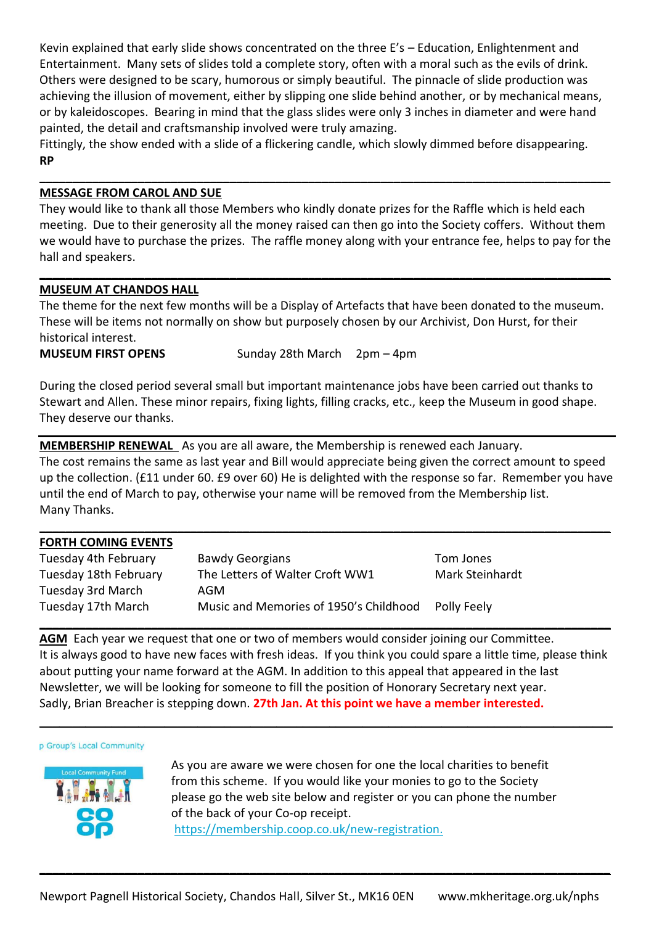Kevin explained that early slide shows concentrated on the three E's – Education, Enlightenment and Entertainment. Many sets of slides told a complete story, often with a moral such as the evils of drink. Others were designed to be scary, humorous or simply beautiful. The pinnacle of slide production was achieving the illusion of movement, either by slipping one slide behind another, or by mechanical means, or by kaleidoscopes. Bearing in mind that the glass slides were only 3 inches in diameter and were hand painted, the detail and craftsmanship involved were truly amazing.

Fittingly, the show ended with a slide of a flickering candle, which slowly dimmed before disappearing. **RP**

#### **MESSAGE FROM CAROL AND SUE**

They would like to thank all those Members who kindly donate prizes for the Raffle which is held each meeting. Due to their generosity all the money raised can then go into the Society coffers. Without them we would have to purchase the prizes. The raffle money along with your entrance fee, helps to pay for the hall and speakers.

**\_\_\_\_\_\_\_\_\_\_\_\_\_\_\_\_\_\_\_\_\_\_\_\_\_\_\_\_\_\_\_\_\_\_\_\_\_\_\_\_\_\_\_\_\_\_\_\_\_\_\_\_\_\_\_\_\_\_\_\_\_\_\_\_\_\_\_\_\_\_\_\_\_\_\_\_\_\_\_\_\_\_\_\_\_\_\_**

**\_\_\_\_\_\_\_\_\_\_\_\_\_\_\_\_\_\_\_\_\_\_\_\_\_\_\_\_\_\_\_\_\_\_\_\_\_\_\_\_\_\_\_\_\_\_\_\_\_\_\_\_\_\_\_\_\_\_\_\_\_\_\_\_\_\_\_\_\_\_\_\_\_\_\_\_\_\_\_\_\_\_\_\_\_\_\_**

#### **MUSEUM AT CHANDOS HALL**

The theme for the next few months will be a Display of Artefacts that have been donated to the museum. These will be items not normally on show but purposely chosen by our Archivist, Don Hurst, for their historical interest.

**MUSEUM FIRST OPENS** Sunday 28th March 2pm – 4pm

During the closed period several small but important maintenance jobs have been carried out thanks to Stewart and Allen. These minor repairs, fixing lights, filling cracks, etc., keep the Museum in good shape. They deserve our thanks.

**MEMBERSHIP RENEWAL** As you are all aware, the Membership is renewed each January.

The cost remains the same as last year and Bill would appreciate being given the correct amount to speed up the collection. (£11 under 60. £9 over 60) He is delighted with the response so far. Remember you have until the end of March to pay, otherwise your name will be removed from the Membership list. Many Thanks.

**\_\_\_\_\_\_\_\_\_\_\_\_\_\_\_\_\_\_\_\_\_\_\_\_\_\_\_\_\_\_\_\_\_\_\_\_\_\_\_\_\_\_\_\_\_\_\_\_\_\_\_\_\_\_\_\_\_\_\_\_\_\_\_\_\_\_\_\_\_\_\_\_\_\_\_\_\_\_\_\_\_\_\_\_\_\_\_**

#### **FORTH COMING EVENTS**

| Tuesday 4th February  | <b>Bawdy Georgians</b>                 | Tom Jones              |
|-----------------------|----------------------------------------|------------------------|
| Tuesday 18th February | The Letters of Walter Croft WW1        | <b>Mark Steinhardt</b> |
| Tuesday 3rd March     | AGM                                    |                        |
| Tuesday 17th March    | Music and Memories of 1950's Childhood | Polly Feely            |
|                       |                                        |                        |

**AGM** Each year we request that one or two of members would consider joining our Committee. It is always good to have new faces with fresh ideas. If you think you could spare a little time, please think about putting your name forward at the AGM. In addition to this appeal that appeared in the last Newsletter, we will be looking for someone to fill the position of Honorary Secretary next year. Sadly, Brian Breacher is stepping down. **27th Jan. At this point we have a member interested.**

 $\_$  ,  $\_$  ,  $\_$  ,  $\_$  ,  $\_$  ,  $\_$  ,  $\_$  ,  $\_$  ,  $\_$  ,  $\_$  ,  $\_$  ,  $\_$  ,  $\_$  ,  $\_$  ,  $\_$  ,  $\_$  ,  $\_$  ,  $\_$  ,  $\_$  ,  $\_$  ,  $\_$  ,  $\_$  ,  $\_$  ,  $\_$  ,  $\_$  ,  $\_$  ,  $\_$  ,  $\_$  ,  $\_$  ,  $\_$  ,  $\_$  ,  $\_$  ,  $\_$  ,  $\_$  ,  $\_$  ,  $\_$  ,  $\_$  ,

#### p Group's Local Community



As you are aware we were chosen for one the local charities to benefit from this scheme. If you would like your monies to go to the Society please go the web site below and register or you can phone the number of the back of your Co-op receipt. [https://membership.coop.co.uk/new-registration.](https://localcommunityfund.newsweaver.com/CoopLocalCommunityFundPayment/1pnxt7wivca1qnjg425yec?email=true&a=5&p=3427636&t=2046029)

**\_\_\_\_\_\_\_\_\_\_\_\_\_\_\_\_\_\_\_\_\_\_\_\_\_\_\_\_\_\_\_\_\_\_\_\_\_\_\_\_\_\_\_\_\_\_\_\_\_\_\_\_\_\_\_\_\_\_\_\_\_\_\_\_\_\_\_\_\_\_\_\_\_\_\_\_\_\_\_\_\_\_\_\_\_\_\_**